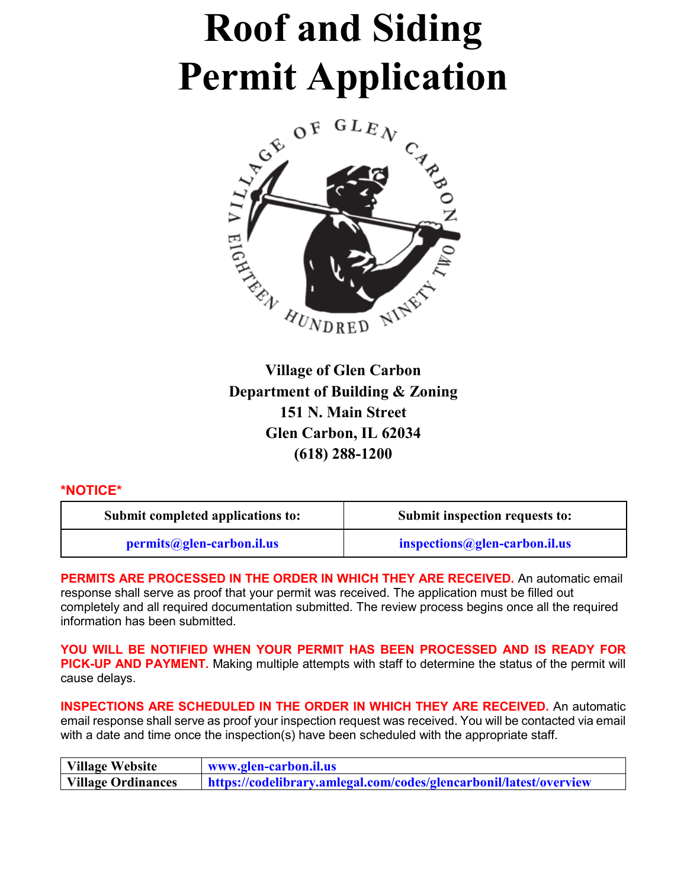# **Roof and Siding Permit Application**



**Village of Glen Carbon Department of Building & Zoning 151 N. Main Street Glen Carbon, IL 62034 (618) 288-1200**

#### **\*NOTICE\***

| Submit completed applications to: | Submit inspection requests to: |
|-----------------------------------|--------------------------------|
| permits@glen-carbon.il.us         | inspections@glen-carbon.il.us  |

**PERMITS ARE PROCESSED IN THE ORDER IN WHICH THEY ARE RECEIVED.** An automatic email response shall serve as proof that your permit was received. The application must be filled out completely and all required documentation submitted. The review process begins once all the required information has been submitted.

**YOU WILL BE NOTIFIED WHEN YOUR PERMIT HAS BEEN PROCESSED AND IS READY FOR PICK-UP AND PAYMENT.** Making multiple attempts with staff to determine the status of the permit will cause delays.

**INSPECTIONS ARE SCHEDULED IN THE ORDER IN WHICH THEY ARE RECEIVED.** An automatic email response shall serve as proof your inspection request was received. You will be contacted via email with a date and time once the inspection(s) have been scheduled with the appropriate staff.

| <b>Village Website</b>    | www.glen-carbon.il.us                                              |
|---------------------------|--------------------------------------------------------------------|
| <b>Village Ordinances</b> | https://codelibrary.amlegal.com/codes/glencarbonil/latest/overview |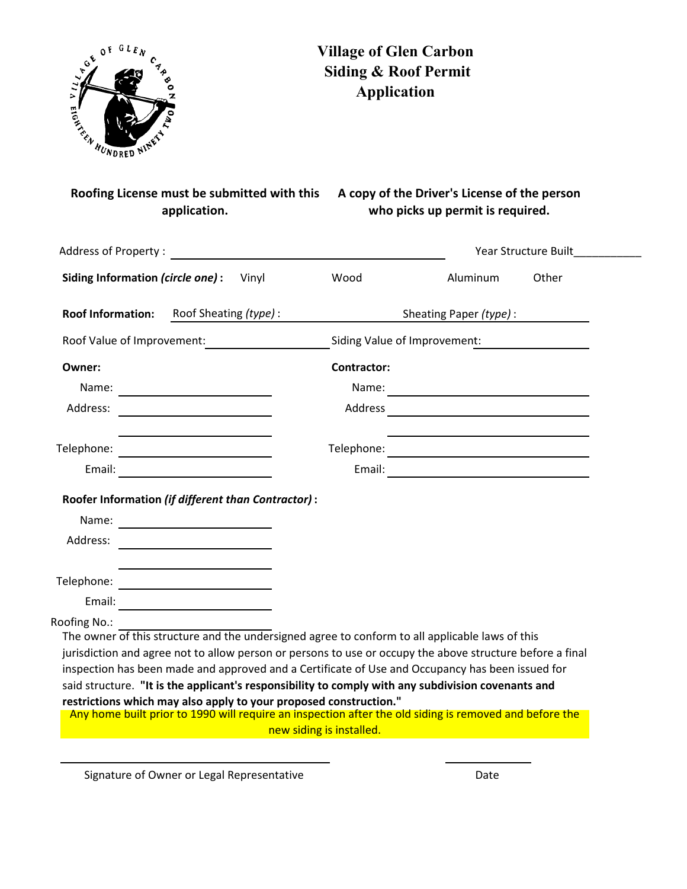

## **Village of Glen Carbon Siding & Roof Permit Application**

### **Roofing License must be submitted with this application.**

#### **A copy of the Driver's License of the person who picks up permit is required.**

| Address of Property:<br><u> 1989 - John Stein, Amerikaansk politiker (</u>                                                                                                                                   | Year Structure Built     |                                               |       |  |
|--------------------------------------------------------------------------------------------------------------------------------------------------------------------------------------------------------------|--------------------------|-----------------------------------------------|-------|--|
| Siding Information (circle one) :<br>Vinyl                                                                                                                                                                   | Wood                     | Aluminum                                      | Other |  |
| <b>Roof Information:</b><br>Roof Sheating (type):                                                                                                                                                            | Sheating Paper (type):   |                                               |       |  |
| Roof Value of Improvement:<br>Siding Value of Improvement:                                                                                                                                                   |                          |                                               |       |  |
| Owner:                                                                                                                                                                                                       | <b>Contractor:</b>       |                                               |       |  |
| Name:                                                                                                                                                                                                        | Name:                    | <u> 1980 - Andrea Andrew Maria (h. 1980).</u> |       |  |
| Address:                                                                                                                                                                                                     |                          |                                               |       |  |
|                                                                                                                                                                                                              |                          |                                               |       |  |
|                                                                                                                                                                                                              |                          |                                               |       |  |
| Roofer Information (if different than Contractor) :                                                                                                                                                          |                          |                                               |       |  |
| Name:                                                                                                                                                                                                        |                          |                                               |       |  |
|                                                                                                                                                                                                              |                          |                                               |       |  |
|                                                                                                                                                                                                              |                          |                                               |       |  |
|                                                                                                                                                                                                              |                          |                                               |       |  |
| Roofing No.:                                                                                                                                                                                                 |                          |                                               |       |  |
| The owner of this structure and the undersigned agree to conform to all applicable laws of this<br>jurisdiction and agree not to allow person or persons to use or occupy the above structure before a final |                          |                                               |       |  |
| inspection has been made and approved and a Certificate of Use and Occupancy has been issued for                                                                                                             |                          |                                               |       |  |
| said structure. "It is the applicant's responsibility to comply with any subdivision covenants and                                                                                                           |                          |                                               |       |  |
| restrictions which may also apply to your proposed construction."                                                                                                                                            |                          |                                               |       |  |
| Any home built prior to 1990 will require an inspection after the old siding is removed and before the                                                                                                       |                          |                                               |       |  |
|                                                                                                                                                                                                              | new siding is installed. |                                               |       |  |

Signature of Owner or Legal Representative **Date** Date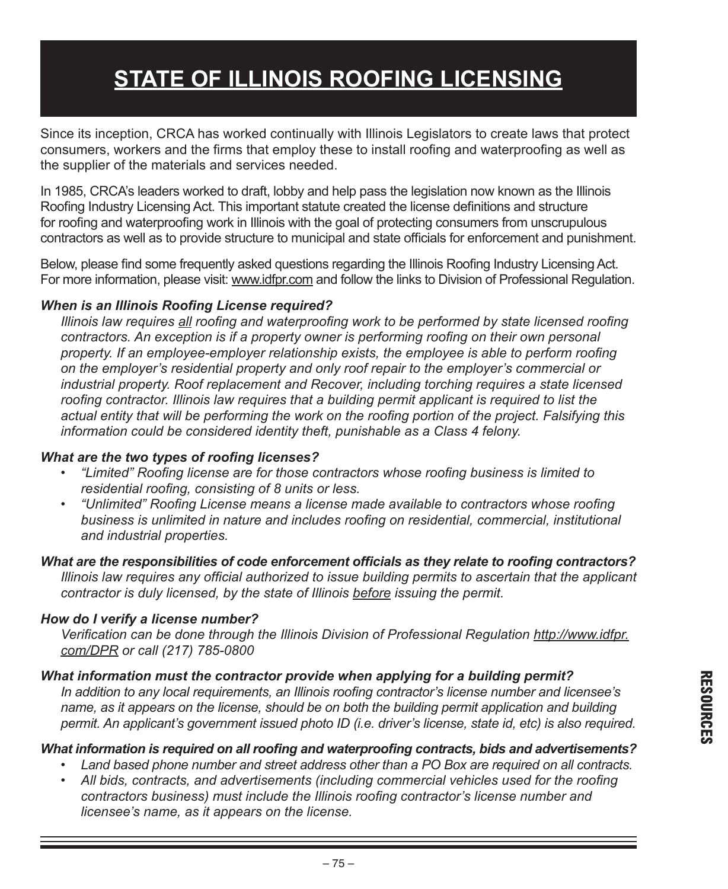# **STATE OF ILLINOIS ROOFING LICENSING**

Since its inception, CRCA has worked continually with Illinois Legislators to create laws that protect consumers, workers and the firms that employ these to install roofing and waterproofing as well as the supplier of the materials and services needed.

In 1985, CRCA's leaders worked to draft, lobby and help pass the legislation now known as the Illinois Roofing Industry Licensing Act. This important statute created the license definitions and structure for roofing and waterproofing work in Illinois with the goal of protecting consumers from unscrupulous contractors as well as to provide structure to municipal and state officials for enforcement and punishment.

Below, please find some frequently asked questions regarding the Illinois Roofing Industry Licensing Act. For more information, please visit: www.idfpr.com and follow the links to Division of Professional Regulation.

#### *When is an Illinois Roofing License required?*

*Illinois law requires all roofing and waterproofing work to be performed by state licensed roofing contractors. An exception is if a property owner is performing roofing on their own personal property. If an employee-employer relationship exists, the employee is able to perform roofing on the employer's residential property and only roof repair to the employer's commercial or industrial property. Roof replacement and Recover, including torching requires a state licensed*  roofing contractor. Illinois law requires that a building permit applicant is required to list the *actual entity that will be performing the work on the roofing portion of the project. Falsifying this information could be considered identity theft, punishable as a Class 4 felony.*

#### *What are the two types of roofing licenses?*

- *"Limited" Roofing license are for those contractors whose roofing business is limited to residential roofing, consisting of 8 units or less.*
- *"Unlimited" Roofing License means a license made available to contractors whose roofing business is unlimited in nature and includes roofing on residential, commercial, institutional and industrial properties.*

*What are the responsibilities of code enforcement officials as they relate to roofing contractors? Illinois law requires any official authorized to issue building permits to ascertain that the applicant contractor is duly licensed, by the state of Illinois before issuing the permit.* 

#### *How do I verify a license number?*

*Verification can be done through the Illinois Division of Professional Regulation http://www.idfpr. com/DPR or call (217) 785-0800*

#### *What information must the contractor provide when applying for a building permit?*

*In addition to any local requirements, an Illinois roofing contractor's license number and licensee's name, as it appears on the license, should be on both the building permit application and building permit. An applicant's government issued photo ID (i.e. driver's license, state id, etc) is also required.*

#### *What information is required on all roofing and waterproofing contracts, bids and advertisements?*

- *Land based phone number and street address other than a PO Box are required on all contracts.*
- *All bids, contracts, and advertisements (including commercial vehicles used for the roofing contractors business) must include the Illinois roofing contractor's license number and licensee's name, as it appears on the license.*